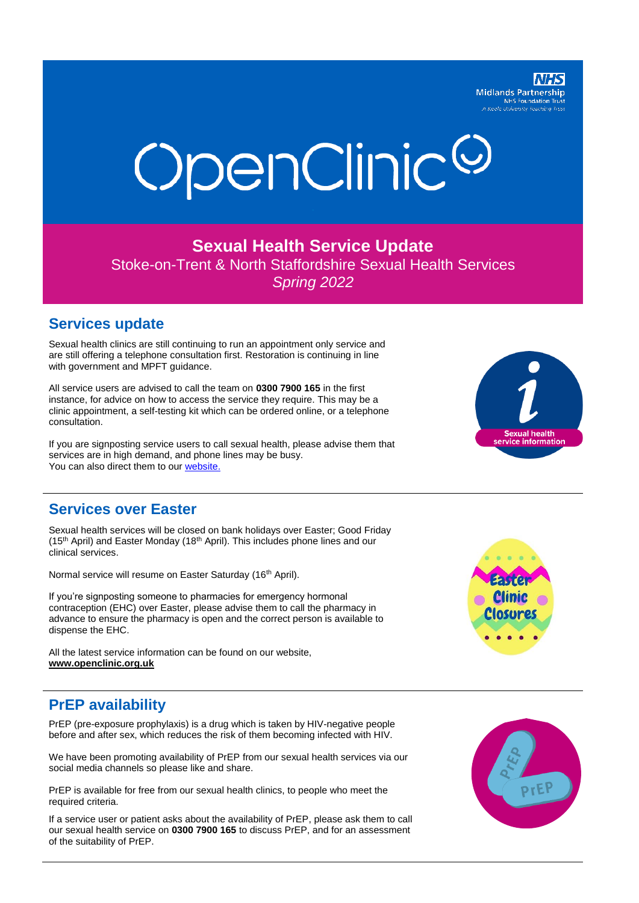

# OpenClinic<sup>©</sup>

#### **Sexual Health Service Update**

Stoke-on-Trent & North Staffordshire Sexual Health Services *Spring 2022*

#### **Services update**

Sexual health clinics are still continuing to run an appointment only service and are still offering a telephone consultation first. Restoration is continuing in line with government and MPFT guidance.

All service users are advised to call the team on **0300 7900 165** in the first instance, for advice on how to access the service they require. This may be a clinic appointment, a self-testing kit which can be ordered online, or a telephone consultation.

If you are signposting service users to call sexual health, please advise them that services are in high demand, and phone lines may be busy. You can also direct them to our [website.](http://www.openclinic.org.uk/)

## **Services over Easter**

Sexual health services will be closed on bank holidays over Easter; Good Friday (15<sup>th</sup> April) and Easter Monday (18<sup>th</sup> April). This includes phone lines and our clinical services.

Normal service will resume on Easter Saturday (16<sup>th</sup> April).

If you're signposting someone to pharmacies for emergency hormonal contraception (EHC) over Easter, please advise them to call the pharmacy in advance to ensure the pharmacy is open and the correct person is available to dispense the EHC.

All the latest service information can be found on our website, **[www.openclinic.org.uk](http://www.openclinic.org.uk/)**

## **PrEP availability**

PrEP (pre-exposure prophylaxis) is a drug which is taken by HIV-negative people before and after sex, which reduces the risk of them becoming infected with HIV.

We have been promoting availability of PrEP from our sexual health services via our social media channels so please like and share.

PrEP is available for free from our sexual health clinics, to people who meet the required criteria.

If a service user or patient asks about the availability of PrEP, please ask them to call our sexual health service on **0300 7900 165** to discuss PrEP, and for an assessment of the suitability of PrEP.



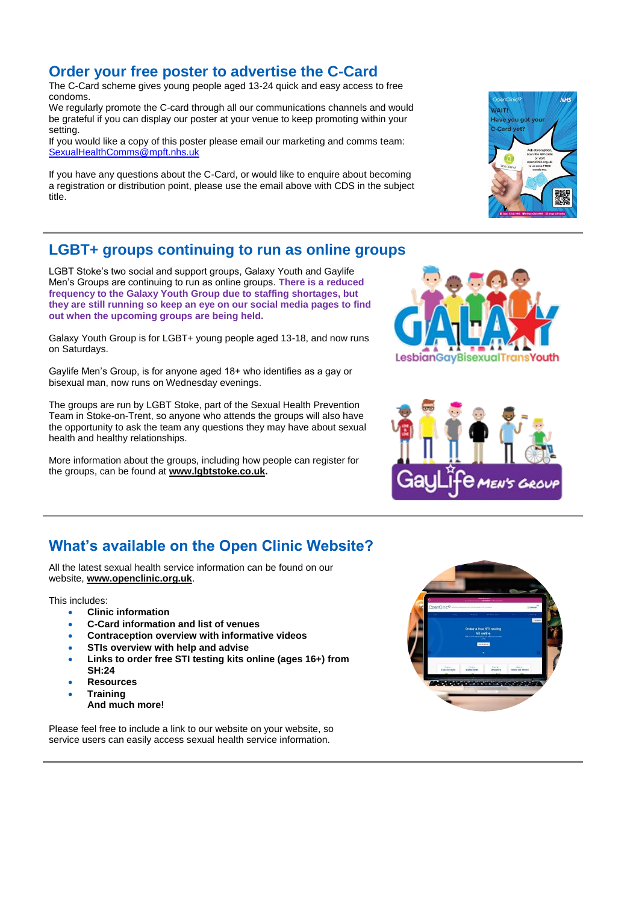#### **Order your free poster to advertise the C-Card**

The C-Card scheme gives young people aged 13-24 quick and easy access to free condoms.

We regularly promote the C-card through all our communications channels and would be grateful if you can display our poster at your venue to keep promoting within your setting.

If you would like a copy of this poster please email our marketing and comms team: [SexualHealthComms@mpft.nhs.uk](mailto:SexualHealthComms@mpft.nhs.uk)

If you have any questions about the C-Card, or would like to enquire about becoming a registration or distribution point, please use [the](mailto:Telford.SexualHealth@nhs.net) email above with CDS in the subject title.

### **LGBT+ groups continuing to run as online groups**

LGBT Stoke's two social and support groups, Galaxy Youth and Gaylife Men's Groups are continuing to run as online groups. **There is a reduced frequency to the Galaxy Youth Group due to staffing shortages, but they are still running so keep an eye on our social media pages to find out when the upcoming groups are being held.**

Galaxy Youth Group is for LGBT+ young people aged 13-18, and now runs on Saturdays.

Gaylife Men's Group, is for anyone aged 18+ who identifies as a gay or bisexual man, now runs on Wednesday evenings.

The groups are run by LGBT Stoke, part of the Sexual Health Prevention Team in Stoke-on-Trent, so anyone who attends the groups will also have the opportunity to ask the team any questions they may have about sexual health and healthy relationships.

More information about the groups, including how people can register for the groups, can be found at **[www.lgbtstoke.co.uk.](http://www.lgbtstoke.co.uk/)**





## **What's available on the Open Clinic Website?**

All the latest sexual health service information can be found on our website, **[www.openclinic.org.uk](http://www.openclinic.org.uk/)**.

This includes:

- **Clinic information**
- **C-Card information and list of venues**
- **Contraception overview with informative videos**
- **STIs overview with help and advise**
- **Links to order free STI testing kits online (ages 16+) from SH:24**
- **Resources**
- **Training** 
	- **And much more!**

Please feel free to include a link to our website on your website, so service users can easily access sexual health service information.